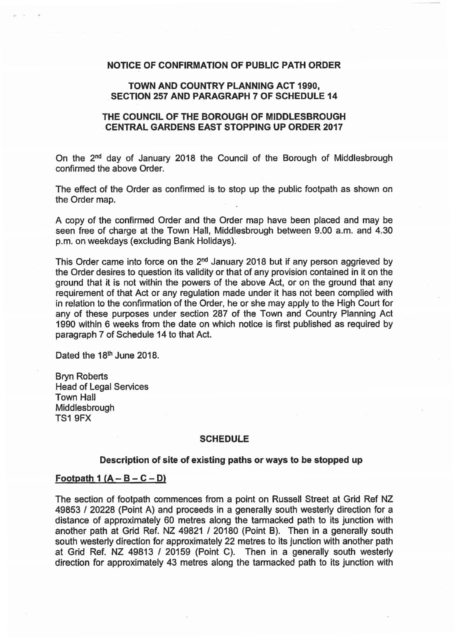# NOTICE OF CONFIRMATION OF PUBLIC PATH ORDER

# TOWN AND COUNTRY PLANNING ACT 1990, SECTION 257 AND PARAGRAPH 7 OF SCHEDULE 14

# THE COUNCIL OF THE BOROUGH OF MIDDLESBROUGH CENTRAL GARDENS EAST STOPPING UP ORDER 2017

On the 2"d day of January 2018 the Council of the Borough of Middlesbrough confirmed the above Order.

The effect of the Order as confirmed is to stop up the public footpath as shown on the Order map.

A copy of the confirmed Order and the Order map have been placed and may be seen free of charge at the Town Hall, Middlesbrough between 9.00 a.m. and 4.30 p.m. on weekdays (excluding Bank Holidays).

This Order came into force on the 2<sup>nd</sup> January 2018 but if any person aggrieved by the Order desires to question its validity or that of any provision contained in it on the ground that it is not within the powers of the above Act, or on the ground that any requirement of that Act or any regulation made under it has not been complied with in relation to the confirmation of the Order, he or she may apply to the High Court for any of these purposes under section 287 of the Town and Country Planning Act 1990 within 6 weeks from the date on which notice is first published as required by paragraph 7 of Schedule 14 to that Act.

Dated the 18<sup>th</sup> June 2018.

Bryn Roberts Head of Legal Services Town Hall Middlesbrough TS1 9FX

#### **SCHEDULE**

## Description of site of existing paths or ways to be stopped up

#### Footpath 1  $(A - B - C - D)$

The section of footpath commences from a point on Russell Street at Grid Ref NZ 49853 I 20228 (Point A) and proceeds in a generally south westerly direction for a distance of approximately 60 metres along the tarmacked path to its junction with another path at Grid Ref. NZ 49821 / 20180 (Point B). Then in a generally south south westerly direction for approximately 22 metres to its junction with another path at Grid Ref. NZ 49813 / 20159 (Point C). Then in a generally south westerly direction for approximately 43 metres along the tarmacked path to its junction with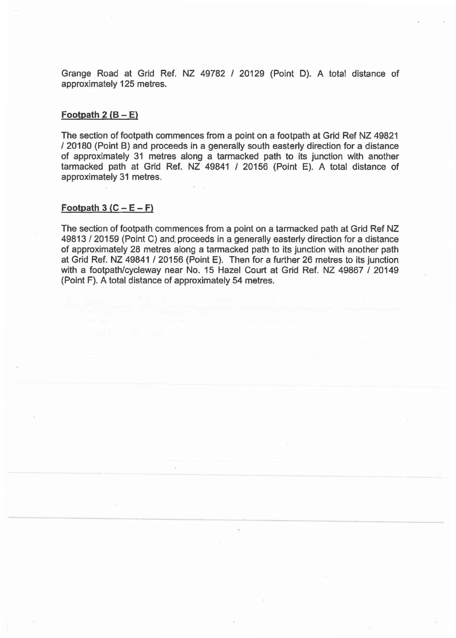Grange Road at Grid Ref. NZ 49782 I 20129 (Point D). A total distance of approximately 125 metres.

## Footpath  $2 (B - E)$

The section of footpath commences from a point on a footpath at Grid Ref NZ 49821 I 20180 (Point B) and proceeds in a generally south easterly direction for a distance of approximately 31 metres along a tarmacked path to its junction with another tarmacked path at Grid Ref. NZ 49841 / 20156 (Point E). A total distance of approximately 31 metres.

#### $$

The section of footpath commences from a point on a tarmacked path at Grid Ref NZ 49813 120159 (Point C) and. proceeds in a generally easterly direction for a distance of approximately 28 metres along a tarmacked path to its junction with another path at Grid Ref. NZ 49841 / 20156 (Point E). Then for a further 26 metres to its junction with a footpath/cycleway near No. 15 Hazel Court at Grid Ref. NZ 49867 / 20149 (Point F). A total distance of approximately 54 metres.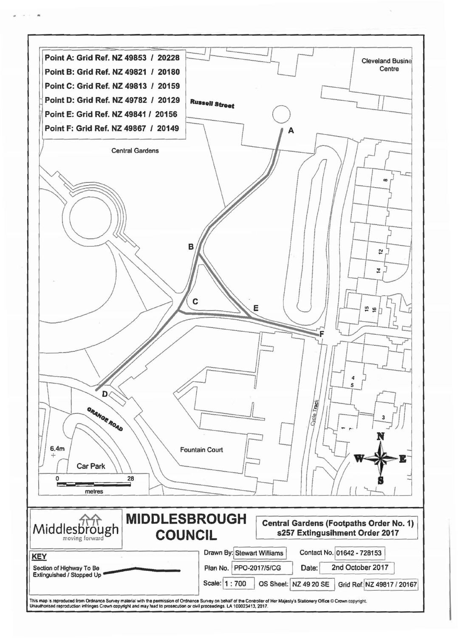